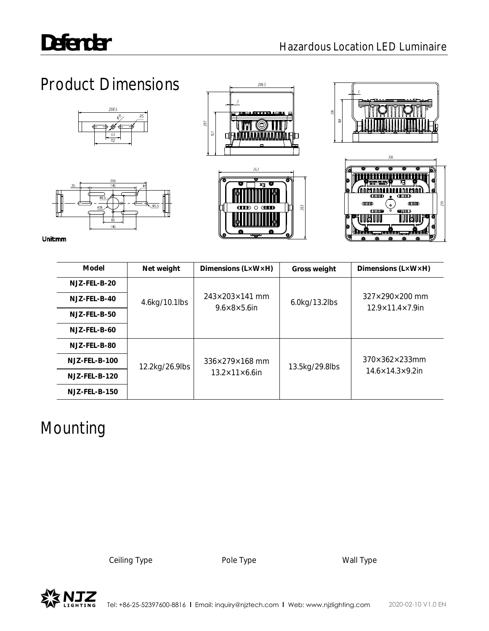# Product Dimensions









 $q_{\text{H}}$ 

IIBIIII

80. MIL

Unitmm

| Model            | Net weight     | Dimensions $(L \times W \times H)$ | Gross weight   | Dimensions $(L \times W \times H)$ |                                  |
|------------------|----------------|------------------------------------|----------------|------------------------------------|----------------------------------|
| $NJZ-FEL-B-20$   |                |                                    |                |                                    |                                  |
| $NJZ-FEL-B-40$   | 4.6kg/10.1lbs  | $243\times203\times141$ mm         | 6.0kg/13.2lbs  | $327\times290\times200$ mm         |                                  |
| $NJZ-FEL-B-50$   |                | $9.6 \times 8 \times 5.6$ in       |                | $12.9 \times 11.4 \times 7.9$ in   |                                  |
| $NJZ-FEL-B-60$   |                |                                    |                |                                    |                                  |
| NJZ-FEL-B-80     |                |                                    |                |                                    |                                  |
| $NJZ$ -FEL-B-100 | 12.2kg/26.9lbs | 336×279×168 mm                     | 13.5kg/29.8lbs | $370\times362\times233$ mm         |                                  |
| $NJZ-FEL-B-120$  |                | $13.2 \times 11 \times 6.6$ in     |                |                                    | $14.6 \times 14.3 \times 9.2$ in |
| $NJZ$ -FEL-B-150 |                |                                    |                |                                    |                                  |

# Mounting

Ceiling Type **Pole Type** Pole Type Wall Type

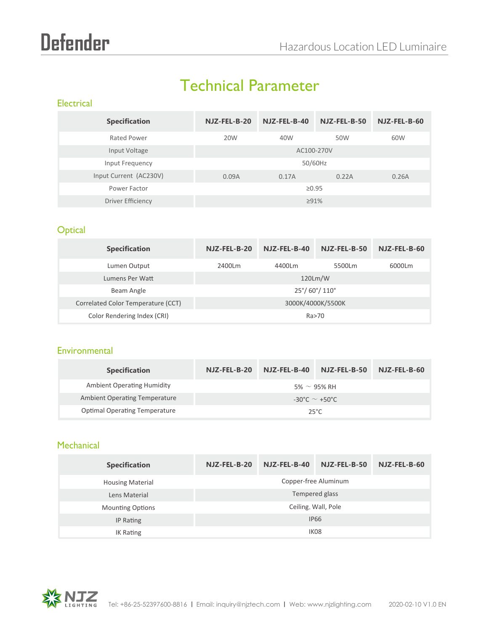# Technical Parameter

### **Electrical**

| <b>Specification</b>   | NJZ-FEL-B-20 | NJZ-FEL-B-40 | NJZ-FEL-B-50 | NJZ-FEL-B-60 |  |
|------------------------|--------------|--------------|--------------|--------------|--|
| Rated Power            | 20W          | 40W          | 50W          | 60W          |  |
| Input Voltage          | AC100-270V   |              |              |              |  |
| Input Frequency        | 50/60Hz      |              |              |              |  |
| Input Current (AC230V) | 0.09A        | 0.17A        | 0.22A        | 0.26A        |  |
| Power Factor           | $\geq 0.95$  |              |              |              |  |
| Driver Efficiency      |              | $\geq 91\%$  |              |              |  |

# **Optical**

| <b>Specification</b>               | NJZ-FEL-B-20                          | NJZ-FEL-B-40 | NJZ-FEL-B-50 | NJZ-FEL-B-60 |  |
|------------------------------------|---------------------------------------|--------------|--------------|--------------|--|
| Lumen Output                       | 2400Lm                                | 4400Lm       | 5500Lm       | 6000Lm       |  |
| Lumens Per Watt                    | 120Lm/W                               |              |              |              |  |
| Beam Angle                         | $25^{\circ}/ 60^{\circ}/ 110^{\circ}$ |              |              |              |  |
| Correlated Color Temperature (CCT) | 3000K/4000K/5500K                     |              |              |              |  |
| Color Rendering Index (CRI)        | Ra>70                                 |              |              |              |  |

#### **Environmental**

| <b>Specification</b>                 | NJZ-FEL-B-20                           | NJZ-FEL-B-40 | NJZ-FEL-B-50     | NJZ-FEL-B-60 |
|--------------------------------------|----------------------------------------|--------------|------------------|--------------|
| <b>Ambient Operating Humidity</b>    |                                        |              | 5% $\sim$ 95% RH |              |
| <b>Ambient Operating Temperature</b> | $-30^{\circ}$ C $\sim$ $+50^{\circ}$ C |              |                  |              |
| <b>Optimal Operating Temperature</b> | $25^{\circ}$ C                         |              |                  |              |

## **Mechanical**

| <b>Specification</b>    | NJZ-FEL-B-20         | NJZ-FEL-B-40 | NJZ-FEL-B-50 | NJZ-FEL-B-60 |  |
|-------------------------|----------------------|--------------|--------------|--------------|--|
| <b>Housing Material</b> | Copper-free Aluminum |              |              |              |  |
| Lens Material           | Tempered glass       |              |              |              |  |
| <b>Mounting Options</b> | Ceiling, Wall, Pole  |              |              |              |  |
| IP Rating               | <b>IP66</b>          |              |              |              |  |
| <b>IK Rating</b>        | IK <sub>08</sub>     |              |              |              |  |

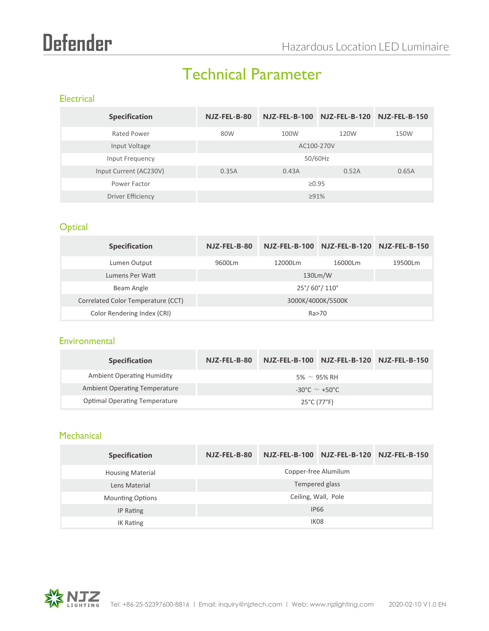# Technical Parameter

### **Electrical**

| <b>Specification</b>   | NJZ-FEL-B-80 |             | NJZ-FEL-B-100 NJZ-FEL-B-120 NJZ-FEL-B-150 |       |  |
|------------------------|--------------|-------------|-------------------------------------------|-------|--|
| Rated Power            | 80W          | 100W        | 120W                                      | 150W  |  |
| Input Voltage          | AC100-270V   |             |                                           |       |  |
| Input Frequency        | 50/60Hz      |             |                                           |       |  |
| Input Current (AC230V) | 0.35A        | 0.43A       | 0.52A                                     | 0.65A |  |
| Power Factor           | $\geq 0.95$  |             |                                           |       |  |
| Driver Efficiency      |              | $\geq 91\%$ |                                           |       |  |

# **Optical**

| <b>Specification</b>               | $NJZ-FEL-B-80$                        |         | NJZ-FEL-B-100 NJZ-FEL-B-120 NJZ-FEL-B-150 |         |
|------------------------------------|---------------------------------------|---------|-------------------------------------------|---------|
| Lumen Output                       | 9600Lm                                | 12000Lm | 16000Lm                                   | 19500Lm |
| Lumens Per Watt                    | 130Lm/W                               |         |                                           |         |
| Beam Angle                         | $25^{\circ}/ 60^{\circ}/ 110^{\circ}$ |         |                                           |         |
| Correlated Color Temperature (CCT) | 3000K/4000K/5500K                     |         |                                           |         |
| Color Rendering Index (CRI)        |                                       |         | Ra>70                                     |         |

# **Environmental**

| <b>Specification</b>                 | NJZ-FEL-B-80       |  | NJZ-FEL-B-100 NJZ-FEL-B-120 NJZ-FEL-B-150 |  |
|--------------------------------------|--------------------|--|-------------------------------------------|--|
| <b>Ambient Operating Humidity</b>    |                    |  | 5% $\sim$ 95% RH                          |  |
| <b>Ambient Operating Temperature</b> | -30°C $\sim$ +50°C |  |                                           |  |
| <b>Optimal Operating Temperature</b> | 25°C (77°F)        |  |                                           |  |

### **Mechanical**

| <b>Specification</b>                 | NJZ-FEL-B-80         |  | NJZ-FEL-B-100 NJZ-FEL-B-120 NJZ-FEL-B-150 |  |  |
|--------------------------------------|----------------------|--|-------------------------------------------|--|--|
| <b>Housing Material</b>              | Copper-free Alumilum |  |                                           |  |  |
| Lens Material                        | Tempered glass       |  |                                           |  |  |
| <b>Mounting Options</b>              | Ceiling, Wall, Pole  |  |                                           |  |  |
| IP Rating                            | <b>IP66</b>          |  |                                           |  |  |
| IK <sub>08</sub><br><b>IK Rating</b> |                      |  |                                           |  |  |

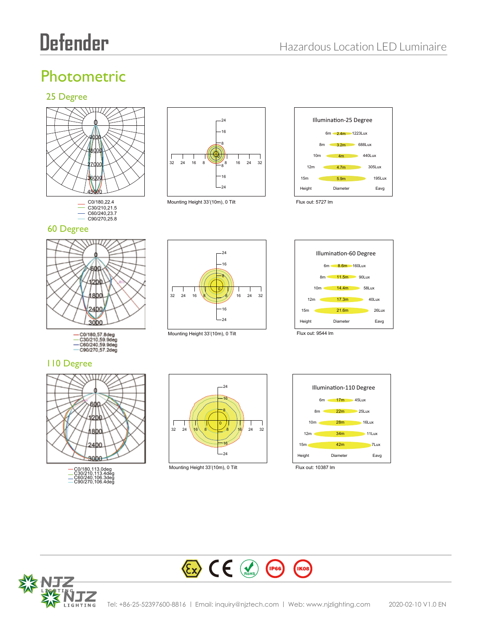# Photometric

### 25 Degree





60 Degree











- C0/180,57.8deg<br>- C30/210,59.9deg<br>- C60/240,59.9deg<br>- C90/270,57.2deg

#### 110 Degree





Mounting Height 33'(10m), 0 Tilt Flux out: 10387 lm



**IKO8** 



 $\left\langle \sum_{k} \right\rangle$   $\left\langle \sum_{k} \right\rangle$   $\left\langle \sum_{k} \right\rangle$   $\left\langle \sum_{k} \right\rangle$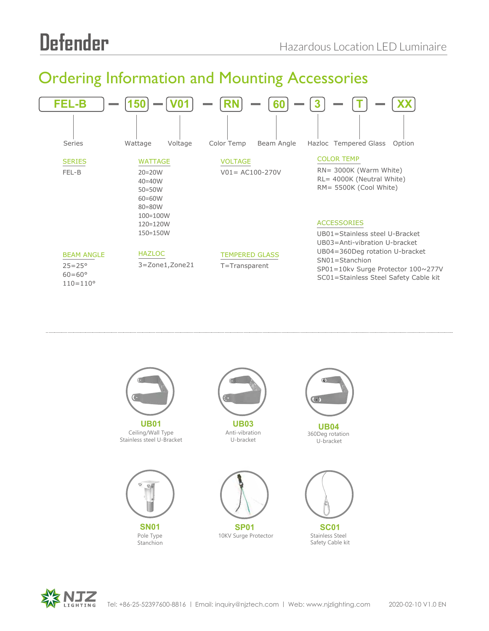# Ordering Information and Mounting Accessories